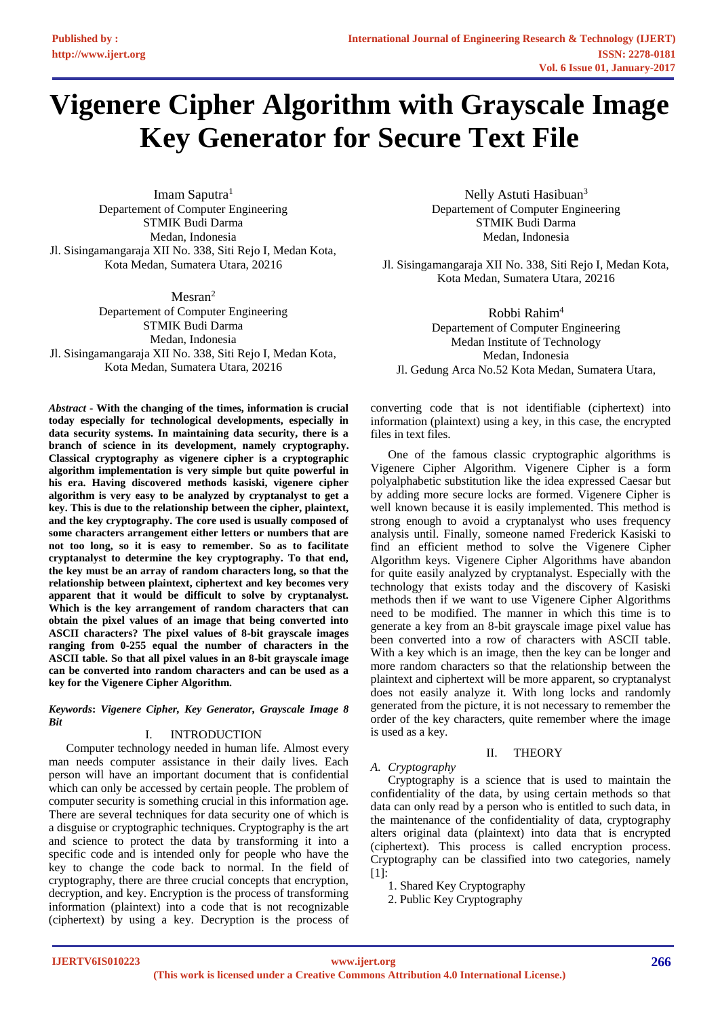# **Vigenere Cipher Algorithm with Grayscale Image Key Generator for Secure Text File**

Imam Saputra<sup>1</sup> Departement of Computer Engineering STMIK Budi Darma Medan, Indonesia Jl. Sisingamangaraja XII No. 338, Siti Rejo I, Medan Kota, Kota Medan, Sumatera Utara, 20216

Mesran<sup>2</sup> Departement of Computer Engineering STMIK Budi Darma Medan, Indonesia Jl. Sisingamangaraja XII No. 338, Siti Rejo I, Medan Kota, Kota Medan, Sumatera Utara, 20216

*Abstract* **- With the changing of the times, information is crucial today especially for technological developments, especially in data security systems. In maintaining data security, there is a branch of science in its development, namely cryptography. Classical cryptography as vigenere cipher is a cryptographic algorithm implementation is very simple but quite powerful in his era. Having discovered methods kasiski, vigenere cipher algorithm is very easy to be analyzed by cryptanalyst to get a key. This is due to the relationship between the cipher, plaintext, and the key cryptography. The core used is usually composed of some characters arrangement either letters or numbers that are not too long, so it is easy to remember. So as to facilitate cryptanalyst to determine the key cryptography. To that end, the key must be an array of random characters long, so that the relationship between plaintext, ciphertext and key becomes very apparent that it would be difficult to solve by cryptanalyst. Which is the key arrangement of random characters that can obtain the pixel values of an image that being converted into ASCII characters? The pixel values of 8-bit grayscale images ranging from 0-255 equal the number of characters in the ASCII table. So that all pixel values in an 8-bit grayscale image can be converted into random characters and can be used as a key for the Vigenere Cipher Algorithm.**

*Keywords***:** *Vigenere Cipher, Key Generator, Grayscale Image 8 Bit*

# I. INTRODUCTION

Computer technology needed in human life. Almost every man needs computer assistance in their daily lives. Each person will have an important document that is confidential which can only be accessed by certain people. The problem of computer security is something crucial in this information age. There are several techniques for data security one of which is a disguise or cryptographic techniques. Cryptography is the art and science to protect the data by transforming it into a specific code and is intended only for people who have the key to change the code back to normal. In the field of cryptography, there are three crucial concepts that encryption, decryption, and key. Encryption is the process of transforming information (plaintext) into a code that is not recognizable (ciphertext) by using a key. Decryption is the process of

Nelly Astuti Hasibuan<sup>3</sup> Departement of Computer Engineering STMIK Budi Darma Medan, Indonesia

Jl. Sisingamangaraja XII No. 338, Siti Rejo I, Medan Kota, Kota Medan, Sumatera Utara, 20216

Robbi Rahim<sup>4</sup> Departement of Computer Engineering Medan Institute of Technology Medan, Indonesia Jl. Gedung Arca No.52 Kota Medan, Sumatera Utara,

converting code that is not identifiable (ciphertext) into information (plaintext) using a key, in this case, the encrypted files in text files.

One of the famous classic cryptographic algorithms is Vigenere Cipher Algorithm. Vigenere Cipher is a form polyalphabetic substitution like the idea expressed Caesar but by adding more secure locks are formed. Vigenere Cipher is well known because it is easily implemented. This method is strong enough to avoid a cryptanalyst who uses frequency analysis until. Finally, someone named Frederick Kasiski to find an efficient method to solve the Vigenere Cipher Algorithm keys. Vigenere Cipher Algorithms have abandon for quite easily analyzed by cryptanalyst. Especially with the technology that exists today and the discovery of Kasiski methods then if we want to use Vigenere Cipher Algorithms need to be modified. The manner in which this time is to generate a key from an 8-bit grayscale image pixel value has been converted into a row of characters with ASCII table. With a key which is an image, then the key can be longer and more random characters so that the relationship between the plaintext and ciphertext will be more apparent, so cryptanalyst does not easily analyze it. With long locks and randomly generated from the picture, it is not necessary to remember the order of the key characters, quite remember where the image is used as a key.

### II. THEORY

## *A. Cryptography*

Cryptography is a science that is used to maintain the confidentiality of the data, by using certain methods so that data can only read by a person who is entitled to such data, in the maintenance of the confidentiality of data, cryptography alters original data (plaintext) into data that is encrypted (ciphertext). This process is called encryption process. Cryptography can be classified into two categories, namely [1]:

1. Shared Key Cryptography

2. Public Key Cryptography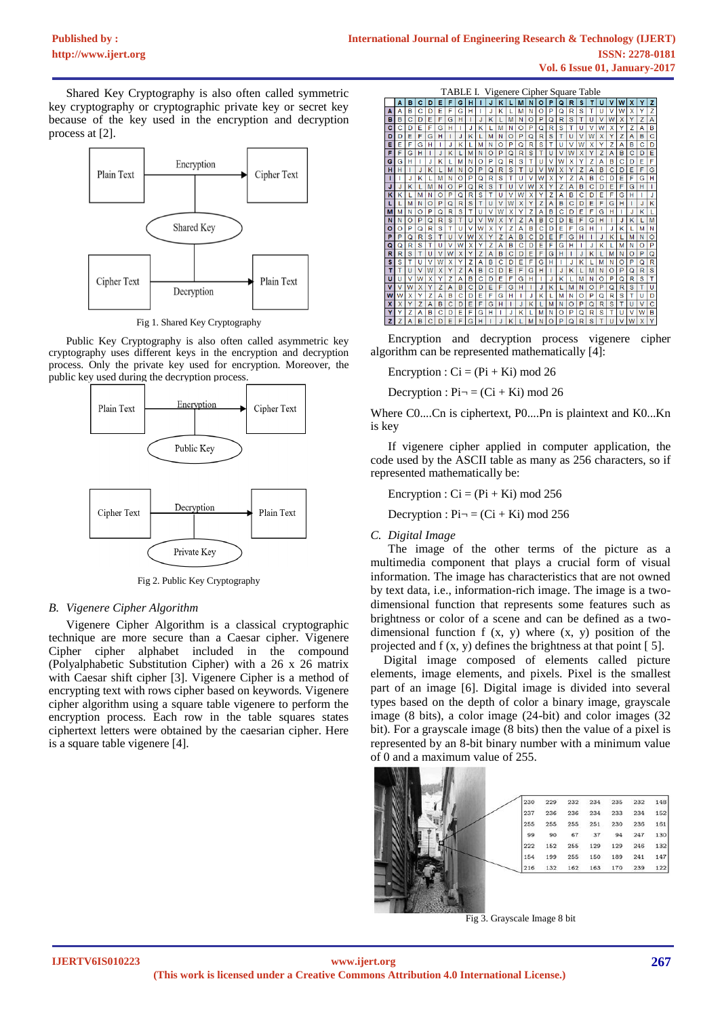Shared Key Cryptography is also often called symmetric key cryptography or cryptographic private key or secret key because of the key used in the encryption and decryption process at [2].



Fig 1. Shared Key Cryptography

Public Key Cryptography is also often called asymmetric key cryptography uses different keys in the encryption and decryption process. Only the private key used for encryption. Moreover, the public key used during the decryption process.



Fig 2. Public Key Cryptography

## *B. Vigenere Cipher Algorithm*

Vigenere Cipher Algorithm is a classical cryptographic technique are more secure than a Caesar cipher. Vigenere Cipher cipher alphabet included in the compound (Polyalphabetic Substitution Cipher) with a 26 x 26 matrix with Caesar shift cipher [3]. Vigenere Cipher is a method of encrypting text with rows cipher based on keywords. Vigenere cipher algorithm using a square table vigenere to perform the encryption process. Each row in the table squares states ciphertext letters were obtained by the caesarian cipher. Here is a square table vigenere [4].



Encryption and decryption process vigenere cipher algorithm can be represented mathematically [4]:

Encryption :  $Ci = (Pi + Ki) \text{ mod } 26$ 

Decryption :  $Pi = (Ci + Ki) \mod 26$ 

Where C0....Cn is ciphertext, P0....Pn is plaintext and K0...Kn is key

If vigenere cipher applied in computer application, the code used by the ASCII table as many as 256 characters, so if represented mathematically be:

Encryption :  $Ci = (Pi + Ki) \text{ mod } 256$ 

Decryption :  $Pi = (Ci + Ki) \text{ mod } 256$ 

### *C. Digital Image*

The image of the other terms of the picture as a multimedia component that plays a crucial form of visual information. The image has characteristics that are not owned by text data, i.e., information-rich image. The image is a twodimensional function that represents some features such as brightness or color of a scene and can be defined as a twodimensional function  $f(x, y)$  where  $(x, y)$  position of the projected and f (x, y) defines the brightness at that point [ 5].

Digital image composed of elements called picture elements, image elements, and pixels. Pixel is the smallest part of an image [6]. Digital image is divided into several types based on the depth of color a binary image, grayscale image (8 bits), a color image (24-bit) and color images (32 bit). For a grayscale image (8 bits) then the value of a pixel is represented by an 8-bit binary number with a minimum value of 0 and a maximum value of 255.



Fig 3. Grayscale Image 8 bit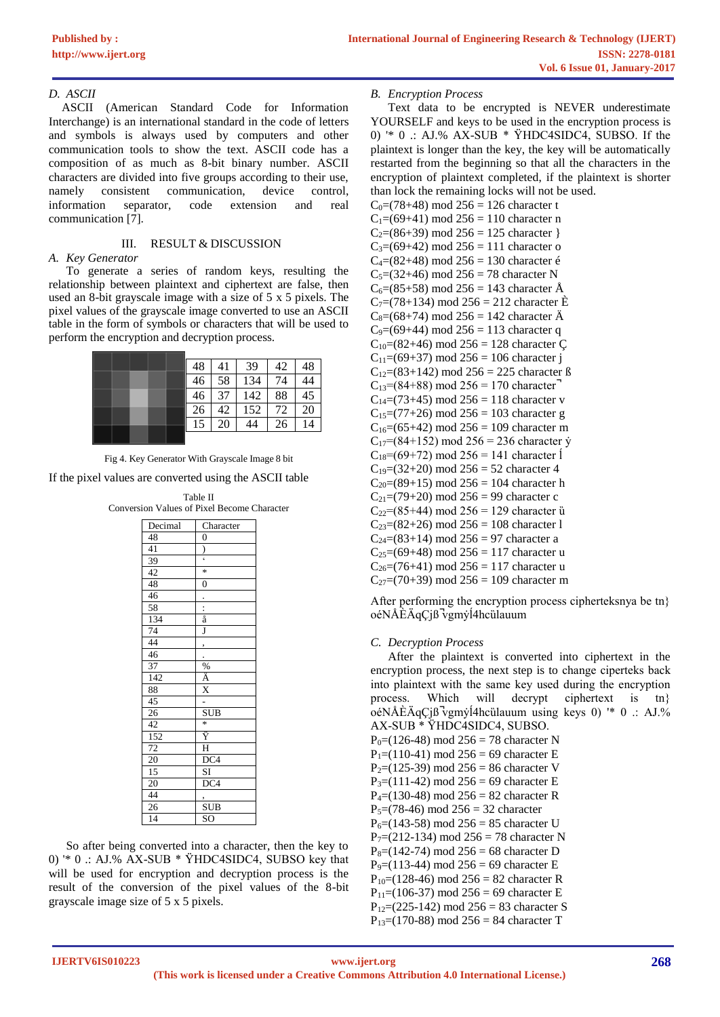## D. ASCII

ASCII (American Standard Code for Information Interchange) is an international standard in the code of letters and symbols is always used by computers and other communication tools to show the text. ASCII code has a composition of as much as 8-bit binary number. ASCII characters are divided into five groups according to their use, consistent communication, device namely control. extension information separator, code and real communication [7].

#### $III.$ **RESULT & DISCUSSION**

# A. Key Generator

To generate a series of random keys, resulting the relationship between plaintext and ciphertext are false, then used an 8-bit grayscale image with a size of 5 x 5 pixels. The pixel values of the grayscale image converted to use an ASCII table in the form of symbols or characters that will be used to perform the encryption and decryption process.

|  | 48 | 41 | 39  | 42 | 48 |
|--|----|----|-----|----|----|
|  |    | 58 | 134 | 74 |    |
|  | 46 | 37 | 142 | 88 | 45 |
|  | 26 | 42 | 152 | 72 | 20 |
|  | 15 | 20 | 44  | 26 |    |
|  |    |    |     |    |    |



If the pixel values are converted using the ASCII table

|  | Table II |                                                    |
|--|----------|----------------------------------------------------|
|  |          | <b>Conversion Values of Pixel Become Character</b> |

| Decimal         | Character                                            |
|-----------------|------------------------------------------------------|
| 48              | $\overline{0}$                                       |
| 41              | $\frac{1}{2}$                                        |
| 39              |                                                      |
| $\overline{42}$ | $\ast$                                               |
| 48              | $\overline{0}$                                       |
| 46              |                                                      |
|                 | $\frac{1}{a}$                                        |
| 58<br>134       |                                                      |
| 74              | J                                                    |
| 44              | ,                                                    |
| 46              |                                                      |
| 37              |                                                      |
| 142             |                                                      |
| 88              | $\frac{10}{\text{A}}$<br>$\frac{\text{X}}{\text{X}}$ |
| 45              |                                                      |
| 26              | <b>SUB</b>                                           |
| 42              | $\ast$                                               |
| 152             | Ÿ                                                    |
| $\frac{72}{20}$ | $\overline{H}$                                       |
|                 | $\overline{DC4}$                                     |
| $\overline{15}$ | SI                                                   |
| 20              | DC4                                                  |
| 44              | ,                                                    |
| $\frac{26}{14}$ | <b>SUB</b>                                           |
|                 | SO                                                   |

So after being converted into a character, then the key to 0)  $*$  0 : AJ.% AX-SUB  $*$  YHDC4SIDC4, SUBSO key that will be used for encryption and decryption process is the result of the conversion of the pixel values of the 8-bit grayscale image size of 5 x 5 pixels.

## **B.** Encryption Process

Text data to be encrypted is NEVER underestimate YOURSELF and keys to be used in the encryption process is 0)  $*$  0 : AJ.% AX-SUB  $*$  YHDC4SIDC4, SUBSO. If the plaintext is longer than the key, the key will be automatically restarted from the beginning so that all the characters in the encryption of plaintext completed, if the plaintext is shorter than lock the remaining locks will not be used.  $(70.10)$  $3256$  $10<1$ 

| $C_0$ =(78+48) mod 250 = 120 character t                  |
|-----------------------------------------------------------|
| $C_1=(69+41)$ mod 256 = 110 character n                   |
| $C_2=(86+39) \text{ mod } 256 = 125 \text{ character }$   |
| $C_3=(69+42)$ mod 256 = 111 character o                   |
| $C_4=(82+48) \text{ mod } 256 = 130 \text{ character } 6$ |
| $C_5=(32+46)$ mod 256 = 78 character N                    |
| $C_6 = (85+58)$ mod 256 = 143 character Å                 |
| $C_7=(78+134)$ mod 256 = 212 character E                  |
| $C_8 = (68 + 74)$ mod 256 = 142 character $\ddot{A}$      |
| C <sub>9</sub> =(69+44) mod 256 = 113 character q         |
| $C_{10} = (82+46)$ mod 256 = 128 character C              |
| $C_{11}=(69+37)$ mod 256 = 106 character j                |
| $C_{12}=(83+142)$ mod 256 = 225 character ß               |
| $C_{13}$ =(84+88) mod 256 = 170 character <sup>-1</sup>   |
| $C_{14}=(73+45)$ mod 256 = 118 character v                |
| $C_{15}=(77+26)$ mod 256 = 103 character g                |
| $C_{16} = (65+42)$ mod 256 = 109 character m              |
| $C_{17}$ =(84+152) mod 256 = 236 character y              |
| $C_{18}=(69+72)$ mod 256 = 141 character 1                |
| $C_{19} = (32+20)$ mod 256 = 52 character 4               |
| $C_{20}=(89+15)$ mod 256 = 104 character h                |
| $C_{21}=(79+20)$ mod 256 = 99 character c                 |
| $C_{22}=(85+44)$ mod 256 = 129 character ũ                |
| $C_{23}=(82+26)$ mod 256 = 108 character 1                |
| $C_{24}=(83+14)$ mod 256 = 97 character a                 |
| $C_{25}=(69+48)$ mod 256 = 117 character u                |
| $C_{26} = (76+41)$ mod 256 = 117 character u              |
| $C_{27}=(70+39)$ mod 256 = 109 character m                |

After performing the encryption process cipherteksnya be tn} oéNÅEÄqCjß vgmyl4hcülauum

## C. Decryption Process

After the plaintext is converted into ciphertext in the encryption process, the next step is to change ciperteks back into plaintext with the same key used during the encryption process. Which will decrypt ciphertext is  $\{tn\}$ oéNÅÈÄqÇjß vgmyl 4h cülauum using keys 0) '\* 0 : AJ.% AX-SUB \* ŸHDC4SIDC4, SUBSO.

P<sub>0</sub>= $(126-48)$  mod 256 = 78 character N  $P_1 = (110-41)$  mod 256 = 69 character E  $P_2=(125-39)$  mod 256 = 86 character V  $P_3 = (111-42)$  mod 256 = 69 character E  $P_4 = (130-48)$  mod 256 = 82 character R  $P_5=(78-46) \text{ mod } 256 = 32 \text{ character}$  $P_6 = (143-58)$  mod 256 = 85 character U  $P_7=(212-134)$  mod 256 = 78 character N  $P_8 = (142 - 74)$  mod 256 = 68 character D  $P_9=(113-44)$  mod 256 = 69 character E  $P_{10}$  = (128-46) mod 256 = 82 character R  $P_{11}$ =(106-37) mod 256 = 69 character E  $P_{12}=(225-142)$  mod 256 = 83 character S  $P_{13} = (170-88)$  mod 256 = 84 character T